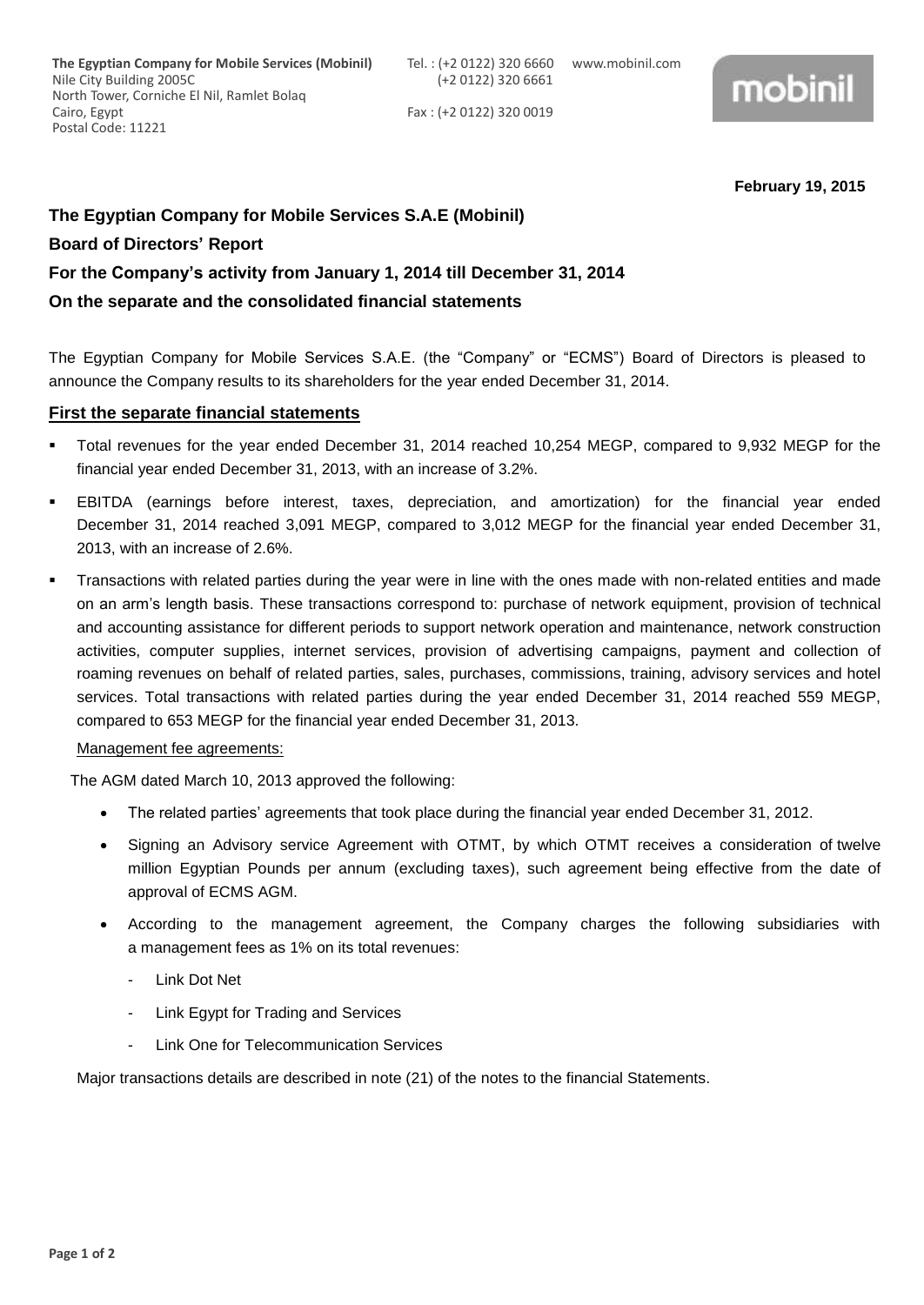Fax : (+2 0122) 320 0019



**February 19, 2015**

# **The Egyptian Company for Mobile Services S.A.E (Mobinil)**

### **Board of Directors' Report**

# **For the Company's activity from January 1, 2014 till December 31, 2014**

## **On the separate and the consolidated financial statements**

The Egyptian Company for Mobile Services S.A.E. (the "Company" or "ECMS") Board of Directors is pleased to announce the Company results to its shareholders for the year ended December 31, 2014.

### **First the separate financial statements**

- Total revenues for the year ended December 31, 2014 reached 10,254 MEGP, compared to 9,932 MEGP for the financial year ended December 31, 2013, with an increase of 3.2%.
- EBITDA (earnings before interest, taxes, depreciation, and amortization) for the financial year ended December 31, 2014 reached 3,091 MEGP, compared to 3,012 MEGP for the financial year ended December 31, 2013, with an increase of 2.6%.
- Transactions with related parties during the year were in line with the ones made with non-related entities and made on an arm's length basis. These transactions correspond to: purchase of network equipment, provision of technical and accounting assistance for different periods to support network operation and maintenance, network construction activities, computer supplies, internet services, provision of advertising campaigns, payment and collection of roaming revenues on behalf of related parties, sales, purchases, commissions, training, advisory services and hotel services. Total transactions with related parties during the year ended December 31, 2014 reached 559 MEGP, compared to 653 MEGP for the financial year ended December 31, 2013.

### Management fee agreements:

The AGM dated March 10, 2013 approved the following:

- The related parties' agreements that took place during the financial year ended December 31, 2012.
- Signing an Advisory service Agreement with OTMT, by which OTMT receives a consideration of twelve million Egyptian Pounds per annum (excluding taxes), such agreement being effective from the date of approval of ECMS AGM.
- According to the management agreement, the Company charges the following subsidiaries with a management fees as 1% on its total revenues:
	- Link Dot Net
	- Link Egypt for Trading and Services
	- Link One for Telecommunication Services

Major transactions details are described in note (21) of the notes to the financial Statements.